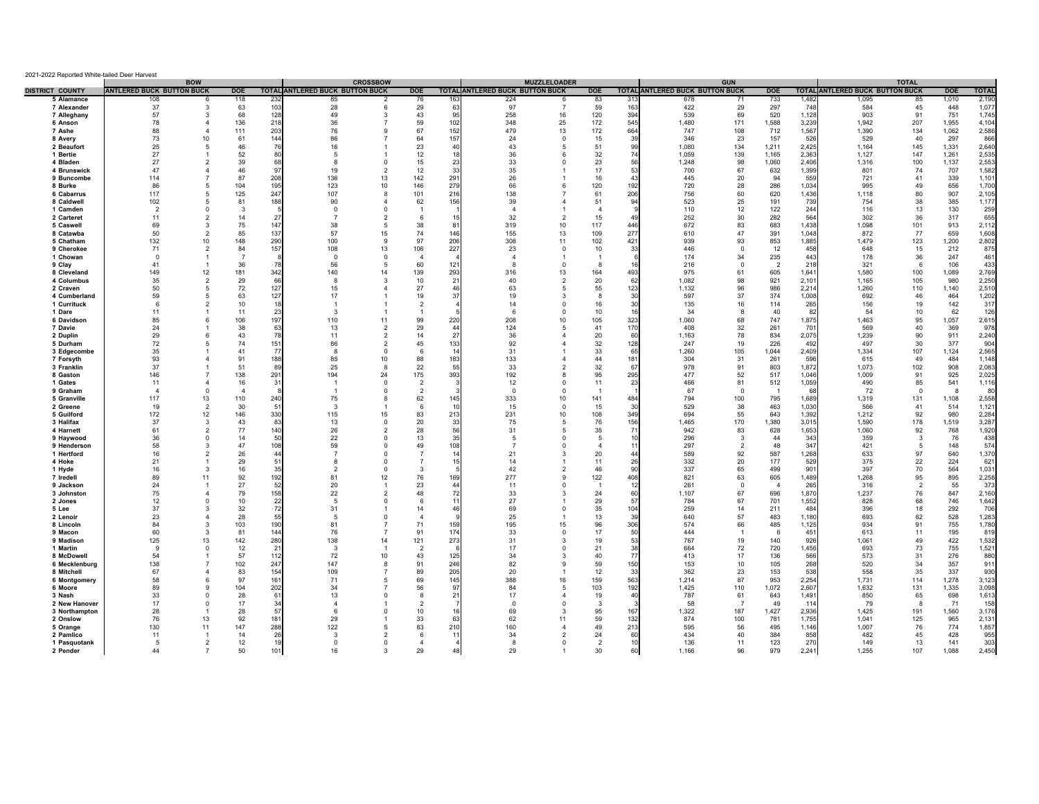| 2021-2022 Reported White-tailed Deer Harvest |                                  |                                          |                |                |                                 |                                      |                |                          |                                        |                            |                      |                 |                                        |                         |                |                |                                        |                |              |                |
|----------------------------------------------|----------------------------------|------------------------------------------|----------------|----------------|---------------------------------|--------------------------------------|----------------|--------------------------|----------------------------------------|----------------------------|----------------------|-----------------|----------------------------------------|-------------------------|----------------|----------------|----------------------------------------|----------------|--------------|----------------|
| <b>DISTRICT COUNTY</b>                       | <b>ANTLERED BUCK BUTTON BUCK</b> | <b>BOW</b>                               | <b>DOE</b>     |                | TOTAL ANTLERED BUCK BUTTON BUCK | <b>CROSSBOW</b>                      | <b>DOE</b>     |                          | <b>TOTAL ANTLERED BUCK BUTTON BUCK</b> | <b>MUZZLELOADER</b>        | <b>DOE</b>           |                 | <b>TOTAL ANTLERED BUCK BUTTON BUCK</b> | <b>GUN</b>              | <b>DOE</b>     |                | <b>TOTAL ANTLERED BUCK BUTTON BUCK</b> | <b>TOTAL</b>   | <b>DOE</b>   | <b>TOTAL</b>   |
| 5 Alamance                                   | 108                              | 6                                        | 118            | 232            | 85                              | 2                                    | 76             |                          | 224                                    | 6                          | 83                   | -31             | 678                                    | 71                      | 733            | 1,482          | 1,095                                  | 85             | 1,010        | 2,190          |
| 7 Alexander                                  | 37                               | 3                                        | 63             | 103            | 28                              | 6                                    | 29             | 6                        | 97                                     | $\overline{7}$             | 59                   | 16              | 422                                    | 29                      | 297            | 748            | 584                                    | 45             | 448          | 1,07           |
| 7 Alleghany                                  | 57                               | 3                                        | 68             | 128            | 49                              | 3                                    | 43             | 9                        | 258                                    | 16                         | 120                  | 39              | 539                                    | 69                      | 520            | 1,128          | 903                                    | 91             | 751          | 1,745          |
| 6 Anson                                      | 78                               | $\overline{4}$                           | 136            | 218            | 36                              |                                      | 59             | 102                      | 348                                    | 25                         | 172                  | 54              | 1.480                                  | 171                     | 1,588          | 3,23           | 1,942                                  | 207            | 1,955        | 4,104          |
| 7 Ashe                                       | 88                               | $\overline{4}$                           | 111            | 203            | 76                              | q                                    | 67             | 152                      | 479                                    | 13                         | 172                  | 664             | 747                                    | 108                     | 712            | 1.567          | 1,390                                  | 134            | 1,062        | 2,586          |
| 8 Avery                                      | 73                               | 10                                       | 61             | 144            | 86                              |                                      | 64             | 157                      | 24                                     | $\mathbf{0}$               | 15                   | 39              | 346                                    | 23                      | 157            | 526            | 529                                    | 40             | 297          | 866            |
| 2 Beaufort                                   | 25                               | $\overline{5}$                           | 46             | 76             | 16                              |                                      | 23             | $\Delta$                 | 43                                     | -5                         | 51                   |                 | 1.080                                  | 134                     | 1,211          | 2.425          | 1.164                                  | 145            | 1,331        | 2,640          |
| 1 Bertie                                     | 27<br>27                         | $\overline{1}$<br>$\overline{2}$         | 52             | 80<br>68       | -5<br>$\mathbf{R}$              | $\Omega$                             | 12             | $\overline{\phantom{a}}$ | 36<br>33                               | 6<br>$\Omega$              | 32<br>23             |                 | 1.059                                  | 139<br>98               | 1,165          | 2.363<br>2.406 | 1,127                                  | 147<br>100     | 1,261        | 2,535          |
| 4 Bladen<br>4 Brunswick                      | 47                               | $\Delta$                                 | 39<br>46       | 97             | 19                              | $\overline{2}$                       | 15<br>12       | $\mathbf{B}$             | 35                                     |                            | 17                   |                 | 1,248<br>700                           | 67                      | 1,060<br>632   | 1,399          | 1,316<br>801                           | 74             | 1,137<br>707 | 2,553<br>1,582 |
| 9 Buncombe                                   | 114                              | $\overline{7}$                           | 87             | 208            | 136                             | 13                                   | 142            | 291                      | 26                                     |                            | 16                   |                 | 445                                    | 20                      | 94             | 559            | 721                                    | 41             | 339          | 1,101          |
| 8 Burke                                      | 86                               | 5                                        | 104            | 195            | 123                             | 10                                   | 146            | 279                      | 66                                     | 6                          | 120                  | 192             | 720                                    | 28                      | 286            | 1,034          | 995                                    | 49             | 656          | 1,700          |
| 6 Cabarrus                                   | 117                              | 5                                        | 125            | 247            | 107                             | 8                                    | 101            | 216                      | 138                                    |                            | 61                   | 206             | 756                                    | 60                      | 620            | 1,436          | 1,118                                  | 80             | 907          | 2,105          |
| 8 Caldwell                                   | 102                              | 5                                        | 81             | 188            | 90                              | $\Delta$                             | 62             | 156                      | 39                                     | $\Lambda$                  | 51                   | $\alpha$        | 523                                    | 25                      | 191            | 739            | 754                                    | 38             | 385          | 1,177          |
| 1 Camden                                     | $\overline{2}$                   | $\Omega$                                 | 3              |                | $\Omega$                        | $\Omega$                             | $\overline{1}$ |                          | $\mathbf{A}$                           |                            | $\overline{a}$       |                 | 110                                    | 12                      | 122            | 244            | 116                                    | 13             | 130          | 259            |
| 2 Carteret                                   | 11                               | $\overline{2}$                           | 14             | 27             | $\overline{7}$                  | $\overline{\phantom{a}}$             | 6              |                          | 32                                     | $\overline{2}$             | 15                   |                 | 252                                    | 30                      | 282            | 564            | 302                                    | 36             | 317          | 655            |
| 5 Caswell                                    | 69                               | 3                                        | 75             | 147            | 38                              | 5                                    | 38             | -8                       | 319                                    | 10                         | 117                  | 446             | 672                                    | 83                      | 683            | 1,438          | 1,098                                  | 101            | 913          | 2,112          |
| 8 Catawba                                    | 50                               | $\overline{2}$                           | 85             | 137            | 57                              | 15                                   | 74             | 146                      | 155                                    | 13                         | 109                  | 277             | 610                                    | 47                      | 391            | 1,048          | 872                                    | 77             | 659          | 1,608          |
| 5 Chatham                                    | 132                              | 10                                       | 148            | 290            | 100                             | -9                                   | 97             | 206                      | 308                                    | 11                         | 102                  | 421             | 939                                    | 93                      | 853            | 1,885          | 1,479                                  | 123            | 1,200        | 2,802          |
| 9 Cherokee                                   | 71                               | $\overline{2}$                           | 84             | 157            | 108                             | 13                                   | 106            | 227                      | 23                                     | $\mathbf 0$                | 10                   | 33              | 446                                    | $\overline{\mathbf{0}}$ | 12             | 458            | 648                                    | 15             | 212          | 875            |
| 1 Chowan                                     | $\Omega$                         | $\mathbf{1}$                             | $\overline{7}$ | 78             | $^{\circ}$<br>56                | $\mathbf 0$<br>5                     | $\overline{4}$ |                          | $\overline{4}$<br>8                    | $\overline{1}$<br>$\Omega$ | $\overline{1}$<br>-8 |                 | 174                                    | 34<br>$\overline{0}$    | 235            | 443<br>218     | 178                                    | 36             | 247<br>106   | 461<br>433     |
| 9 Clay<br>8 Cleveland                        | 41<br>149                        | $\overline{1}$<br>12                     | 36<br>181      | 342            | 140                             | 14                                   | 60<br>139      | 121<br>293               | 316                                    | 13                         | 164                  | 493             | 216<br>975                             | 61                      | 2<br>605       | 1,641          | 321<br>1,580                           | 6<br>100       | 1,089        | 2,769          |
| 4 Columbus                                   | 35                               | $\overline{2}$                           | 29             | 66             | 8                               | 3                                    | 10             | 21                       | 40                                     | $\overline{2}$             | 20                   | 62              | 1,082                                  | 98                      | 921            | 2,101          | 1,165                                  | 105            | 980          | 2,250          |
| 2 Craven                                     | 50                               | 5                                        | 72             | 127            | 15                              |                                      | 27             | 46                       | 63                                     | 5                          | 55                   | 123             | 1,132                                  | 96                      | 986            | 2,214          | 1,260                                  | 110            | 1,140        | 2,510          |
| 4 Cumberland                                 | 59                               | 5                                        | 63             | 127            | 17                              |                                      | 19             | -37                      | 19                                     | 3                          | 8                    |                 | 597                                    | 37                      | 374            | 1,008          | 692                                    | 46             | 464          | 1,202          |
| 1 Currituck                                  | 6                                | $\overline{2}$                           | 10             | 18             |                                 |                                      | $\overline{2}$ |                          | 14                                     | $^{\circ}$                 | 16                   |                 | 135                                    | 16                      | 114            | 265            | 156                                    | 19             | 142          | 317            |
| 1 Dare                                       | 11                               |                                          | 11             | 23             | $\mathbf{3}$                    |                                      | $\overline{1}$ |                          | 6                                      | $^{\circ}$                 | 10                   |                 | 34                                     | -8                      | 40             | 82             | 54                                     | 10             | 62           | 126            |
| 6 Davidson                                   | 85                               | 6                                        | 106            | 197            | 110                             | 11                                   | 99             | 220                      | 208                                    | 10                         | 105                  | 323             | 1,060                                  | 68                      | 747            | 1,875          | 1,463                                  | 95             | 1,057        | 2,615          |
| 7 Davie                                      | 24                               | $\overline{1}$                           | 38             | 63             | 13                              | $\overline{2}$                       | 29             | $\Delta$                 | 124                                    | -5                         | 41                   | 170             | 408                                    | 32                      | 261            | 701            | 569                                    | 40             | 369          | 976            |
| 2 Duplin                                     | 29                               | 6                                        | 43             | 78             | 11                              | $\overline{\phantom{0}}$             | 14             | 27                       | 36                                     | $\Delta$                   | 20                   | 60              | 1.163                                  | 78                      | 834            | 2,075          | 1,239                                  | 90             | 911          | 2,240          |
| 5 Durham                                     | 72<br>35                         | 5                                        | 74<br>41       | 151<br>77      | 86<br>8                         | $\overline{\phantom{a}}$<br>$\Omega$ | 45<br>-6       | 133                      | 92<br>31                               | $\Delta$                   | 32<br>33             | 128<br>65       | 247                                    | 19                      | 226            | 492<br>2,409   | 497<br>1.334                           | 30<br>107      | 377          | 904            |
| 3 Edgecombe<br>7 Forsyth                     | 93                               | $\overline{4}$                           | 91             | 188            | 85                              | 10                                   | 88             | 183                      | 133                                    | $\Delta$                   | 44                   | 181             | 1,260<br>304                           | 105<br>31               | 1,044<br>261   | 596            | 615                                    | 49             | 1,124<br>484 | 2,565<br>1,148 |
| 3 Franklin                                   | 37                               | $\overline{1}$                           | 51             | 89             | 25                              | -8                                   | 22             |                          | 33                                     | $\mathcal{P}$              | 32                   | 67              | 978                                    | 91                      | 803            | 1,872          | 1,073                                  | 102            | 908          | 2,083          |
| 8 Gaston                                     | 146                              | $\overline{7}$                           | 138            | 291            | 194                             | 24                                   | 175            | 393                      | 192                                    | 8                          | 95                   | 295             | 477                                    | 52                      | 517            | 1,046          | 1,009                                  | 91             | 925          | 2,025          |
| 1 Gates                                      | 11                               | $\overline{4}$                           | 16             | 31             | -1                              | $\Omega$                             | $\overline{2}$ |                          | 12                                     | $^{\circ}$                 | 11                   | 23              | 466                                    | 81                      | 512            | 1,059          | 490                                    | 85             | 541          | 1,11           |
| 9 Graham                                     | $\Delta$                         | $\Omega$                                 | $\overline{4}$ |                | -1                              | $\mathbf 0$                          | $\overline{2}$ |                          | $\Omega$                               | $\Omega$                   | - 1                  |                 | 67                                     | $\Omega$                | - 1            | 68             | 72                                     | $\Omega$       | -8           | -80            |
| 5 Granville                                  | 117                              | 13                                       | 110            | 240            | 75                              | 8                                    | 62             | 145                      | 333                                    | 10                         | 141                  | 484             | 794                                    | 100                     | 795            | 1,689          | 1,319                                  | 131            | 1,108        | 2,558          |
| 2 Greene                                     | 19                               | $\overline{2}$                           | 30             | 5 <sup>′</sup> | $\mathbf{3}$                    |                                      | -6             |                          | 15                                     | $\Omega$                   | 15                   | 30              | 529                                    | 38                      | 463            | 1,030          | 566                                    | 41             | 514          | 1,121          |
| 5 Guilford                                   | 172                              | 12                                       | 146            | 330            | 115                             | 15                                   | 83             | 213                      | 231                                    | 10                         | 108                  | 34 <sup>9</sup> | 694                                    | 55                      | 643            | 1,392          | 1,212                                  | 92             | 980          | 2,284          |
| 3 Halifax                                    | 37                               | 3                                        | 43             | 83             | 13                              | $\mathbf 0$                          | 20             | -33                      | 75                                     | 5                          | 76                   | 156             | 1,465                                  | 170                     | 1,380          | 3,015          | 1,590                                  | 178            | 1,519        | 3,287          |
| 4 Harnett                                    | 61                               | $\overline{2}$                           | 77             | 140            | 26                              | $\overline{2}$                       | 28             |                          | 31                                     | 5                          | 35                   |                 | 942                                    | 83                      | 628            | 1,653          | 1,060                                  | 92             | 768          | 1,920          |
| 9 Haywood<br>9 Henderson                     | 36<br>58                         | $^{\circ}$<br>3                          | 14<br>47       | 50<br>108      | 22<br>59                        | $\mathbf 0$<br>$\mathbf 0$           | 13<br>49       | -35<br>108               | -5                                     | $\Omega$<br>$\Omega$       | -5<br>$\overline{4}$ |                 | 296<br>297                             | - 3<br>$\overline{2}$   | 44<br>48       | 343<br>347     | 359<br>421                             | -3<br>-5       | 76<br>148    | 438<br>574     |
| 1 Hertford                                   | 16                               | $\overline{2}$                           | 26             | 44             | -7                              | $\mathbf 0$                          | -7             |                          | 21                                     | 3                          | 20                   |                 | 589                                    | 92                      | 587            | 1,268          | 633                                    | 97             | 640          | 1,370          |
| 4 Hoke                                       | 21                               |                                          | 29             | 51             | $\mathbf{R}$                    | $\Omega$                             | $\overline{7}$ |                          | 14                                     |                            | 11                   | 26              | 332                                    | 20                      | 177            | 529            | 375                                    | 22             | 224          | 621            |
| 1 Hyde                                       | 16                               | 3                                        | 16             | 35             | $\overline{2}$                  | $\Omega$                             | 3              |                          | 42                                     | $\overline{\phantom{a}}$   | 46                   | 9               | 337                                    | 65                      | 499            | 901            | 397                                    | 70             | 564          | 1,031          |
| 7 Iredell                                    | 89                               | 11                                       | 92             | 192            | 81                              | 12                                   | 76             | 169                      | 277                                    | 9                          | 122                  | 408             | 821                                    | 63                      | 605            | 1,489          | 1,268                                  | 95             | 895          | 2,258          |
| 9 Jackson                                    | 24                               |                                          | 27             | 52             | 20                              |                                      | 23             | $\overline{4}$           | 11                                     | $\mathbf 0$                | $\overline{1}$       |                 | 261                                    | $\mathbf 0$             | $\overline{4}$ | 265            | 316                                    | $\overline{2}$ | 55           | 373            |
| 3 Johnston                                   | 75                               | $\overline{4}$                           | 79             | 158            | 22                              | $\overline{2}$                       | 48             | 72                       | 33                                     | 3                          | 24                   | 60              | 1,107                                  | 67                      | 696            | 1,870          | 1,237                                  | 76             | 847          | 2,160          |
| 2 Jones                                      | 12                               | $\mathbf 0$                              | 10             | 22             | 5                               | $\mathbf 0$                          | 6              |                          | 27                                     |                            | 29                   | 51              | 784                                    | 67                      | 701            | 1,552          | 828                                    | 68             | 746          | 1,642          |
| 5 Lee                                        | 37                               | 3                                        | 32             | 72             | 31                              |                                      | 14             |                          | 69                                     | $\mathbf 0$                | 35                   | 104             | 259                                    | 14                      | 211            | 484            | 396                                    | 18             | 292          | 706            |
| 2 Lenoir                                     | 23                               | $\overline{4}$                           | 28             | 55             | -5                              | $\mathbf 0$                          | $\overline{4}$ |                          | 25                                     |                            | 13                   |                 | 640                                    | 57                      | 483            | 1,180          | 693                                    | 62             | 528          | 1,283          |
| 8 Lincoln<br>9 Macon                         | 84<br>60                         | 3<br>3                                   | 103<br>81      | 190<br>144     | 81<br>76                        |                                      | 71<br>91       | 159<br>174               | 195<br>33                              | 15<br>$\Omega$             | 96<br>17             | 306             | 574<br>444                             | 66<br>$\overline{1}$    | 485<br>6       | 1,125<br>451   | 934<br>613                             | 91<br>11       | 755<br>195   | 1,780<br>819   |
| 9 Madison                                    | 125                              | 13                                       | 142            | 280            | 138                             | 14                                   | 121            | 273                      | 31                                     | 3                          | 19                   |                 | 767                                    | 19                      | 140            | 926            | 1,061                                  | 49             | 422          | 1,532          |
| 1 Martin                                     | -9                               | $\Omega$                                 | 12             | 21             | $\mathbf{3}$                    |                                      | $\overline{2}$ |                          | 17                                     | $\Omega$                   | 21                   |                 | 664                                    | 72                      | 720            | 1,456          | 693                                    | 73             | 755          | 1,521          |
| 8 McDowell                                   | 54                               |                                          | 57             | 112            | 72                              | 10                                   | 43             | 125                      | 34                                     | 3                          | 40                   |                 | 413                                    | 17                      | 136            | 566            | 573                                    | 31             | 276          | 880            |
| 6 Mecklenburg                                | 138                              | $\overline{7}$                           | 102            | 247            | 147                             | 8                                    | 91             | 246                      | 82                                     | 9                          | 59                   | 150             | 153                                    | 10                      | 105            | 268            | 520                                    | 34             | 357          | 911            |
| 8 Mitchell                                   | 67                               | $\overline{4}$                           | 83             | 154            | 109                             |                                      | 89             | 205                      | 20                                     |                            | 12                   | 33              | 362                                    | 23                      | 153            | 538            | 558                                    | 35             | 337          | 930            |
| 6 Montgomery                                 | 58                               | 6                                        | 97             | 161            | 71                              | 5                                    | 69             | 145                      | 388                                    | 16                         | 159                  | 563             | 1,214                                  | 87                      | 953            | 2,254          | 1,731                                  | 114            | 1,278        | 3,123          |
| 6 Moore                                      | 89                               | 9                                        | 104            | 202            | 34                              |                                      | 56             | 97                       | 84                                     | 5                          | 103                  | 192             | 1.425                                  | 110                     | 1.072          | 2.607          | 1.632                                  | 131            | 1.335        | 3.098          |
| 3 Nash                                       | 33                               | $\Omega$                                 | 28             | 61             | 13                              | $\Omega$                             | 8              | 21                       | 17                                     | $\overline{4}$             | 19                   |                 | 787                                    | 61                      | 643            | 1.491          | 850                                    | 65             | 698          | 1,613          |
| 2 New Hanover                                | 17                               | $\Omega$                                 | 17             | 34             | $\mathbf{A}$                    |                                      | 2              |                          | $\Omega$                               | $\Omega$                   | $\mathbf{3}$         |                 | 58                                     | $\overline{7}$          | 49             | 114            | 79                                     | -8             | 71           | 158            |
| 3 Northampton                                | 28                               | $\overline{1}$                           | 28             | 57             | 6                               | $\Omega$                             | 10             |                          | 69                                     | $\mathbf{3}$               | 95                   | 167             | 1,322                                  | 187                     | 1,427          | 2.936          | 1.425                                  | 191            | 1,560        | 3,176          |
| 2 Onslow                                     | 76                               | 13                                       | 92             | 181            | 29                              |                                      | 33             |                          | 62                                     | 11                         | 59                   | 13 <sub>i</sub> | 874                                    | 100                     | 781            | 1.755          | 1.041                                  | 125            | 965          | 2,13           |
| 5 Orange                                     | 130<br>11                        | 11                                       | 147<br>14      | 288            | 122<br>$\mathbf{3}$             | 5<br>$\overline{\phantom{a}}$        | 83<br>6        | 210<br>$\mathbf{1}$      | 160                                    | $\Delta$                   | 49                   | 213             | 595<br>434                             | 56<br>40                | 495            | 1.146<br>858   | 1.007<br>482                           | 76<br>45       | 774          | 1,857          |
| 2 Pamlico<br>1 Pasquotank                    | -5                               | $\mathbf{1}$<br>$\overline{\phantom{a}}$ | 12             | 26<br>19       | $\Omega$                        | $\Omega$                             | $\overline{4}$ |                          | 34<br>8                                | $\overline{2}$<br>$\Omega$ | 24<br>2              | 60              | 136                                    | 11                      | 384<br>123     | 270            | 149                                    | 13             | 428<br>141   | 955<br>303     |
| 2 Pender                                     | 44                               |                                          | 50             | 101            | 16                              | 3                                    | 29             |                          | 29                                     |                            | 30                   |                 | 1.166                                  | 96                      | 979            | 2,241          | 1,255                                  | 107            | 1.088        | 2.450          |
|                                              |                                  |                                          |                |                |                                 |                                      |                |                          |                                        |                            |                      |                 |                                        |                         |                |                |                                        |                |              |                |